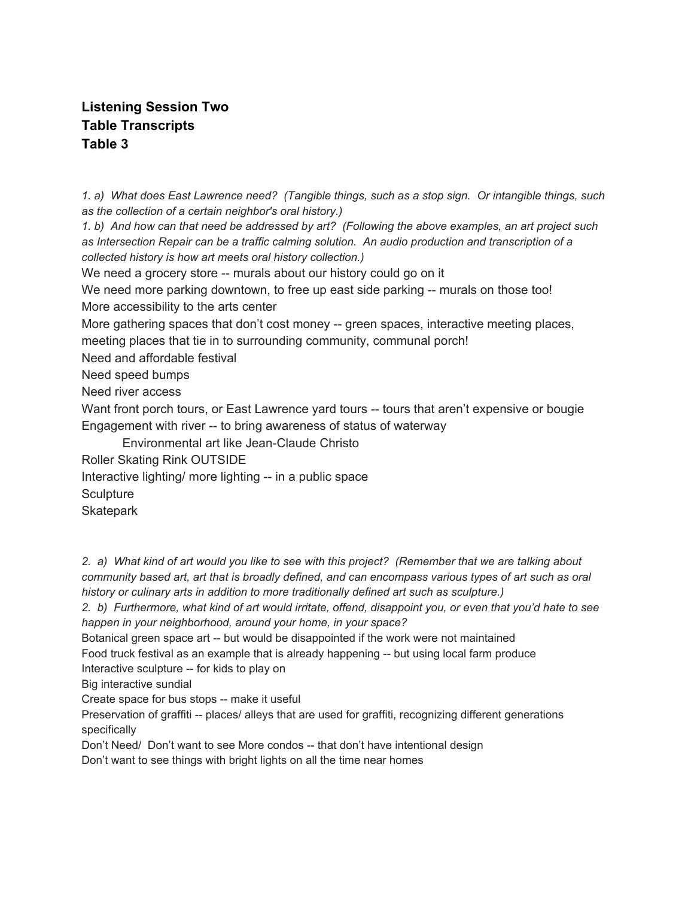## **Listening Session Two Table Transcripts Table 3**

1. a) What does East Lawrence need? (Tangible things, such as a stop sign. Or intangible things, such *as the collection of a certain neighbor's oral history.)*

1. b) And how can that need be addressed by art? (Following the above examples, an art project such *as Intersection Repair can be a traffic calming solution. An audio production and transcription of a collected history is how art meets oral history collection.)*

We need a grocery store -- murals about our history could go on it

We need more parking downtown, to free up east side parking -- murals on those too! More accessibility to the arts center

More gathering spaces that don't cost money -- green spaces, interactive meeting places, meeting places that tie in to surrounding community, communal porch!

Need and affordable festival

Need speed bumps

Need river access

Want front porch tours, or East Lawrence yard tours -- tours that aren't expensive or bougie Engagement with river -- to bring awareness of status of waterway

Environmental art like Jean-Claude Christo

Roller Skating Rink OUTSIDE

Interactive lighting/ more lighting -- in a public space

**Sculpture** 

**Skatepark** 

2. a) What kind of art would you like to see with this project? (Remember that we are talking about community based art, art that is broadly defined, and can encompass various types of art such as oral *history or culinary arts in addition to more traditionally defined art such as sculpture.)*

2. b) Furthermore, what kind of art would irritate, offend, disappoint you, or even that you'd hate to see *happen in your neighborhood, around your home, in your space?*

Botanical green space art -- but would be disappointed if the work were not maintained Food truck festival as an example that is already happening -- but using local farm produce

Interactive sculpture -- for kids to play on

Big interactive sundial

Create space for bus stops -- make it useful

Preservation of graffiti -- places/ alleys that are used for graffiti, recognizing different generations specifically

Don't Need/ Don't want to see More condos -- that don't have intentional design

Don't want to see things with bright lights on all the time near homes